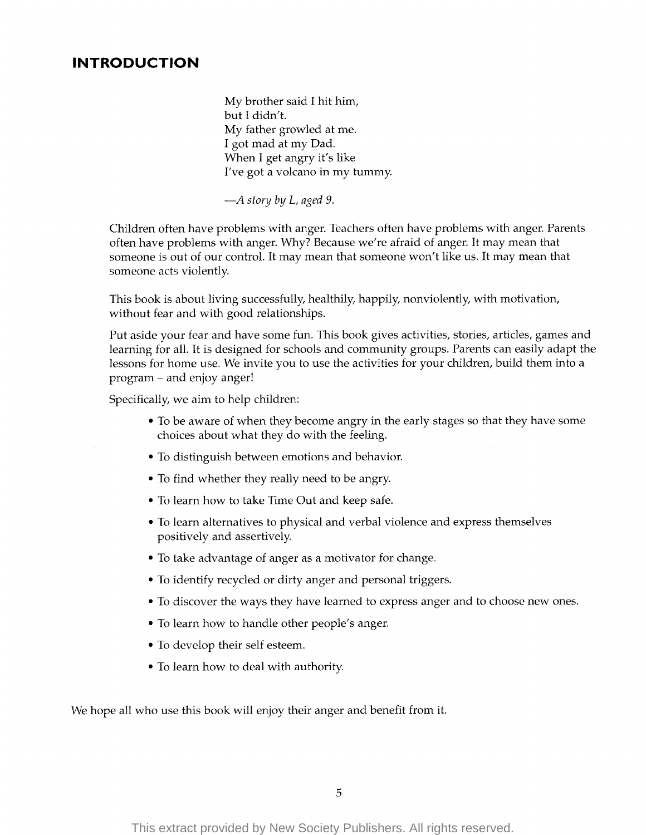### **INTRODUCTION**

My brother said I hit him, but I didn't. My father growled at me. I got mad at my Dad. When I get angry it's like I've got a volcano in my tummy.

*—A story by L, aged 9.*

Children often have problems with anger. Teachers often have problems with anger. Parents often have problems with anger. Why? Because we're afraid of anger. It may mean that someone is out of our control. It may mean that someone won't like us. It may mean that someone acts violently.

This book is about living successfully, healthily, happily, nonviolently, with motivation, without fear and with good relationships.

Put aside your fear and have some fun. This book gives activities, stories, articles, games and learning for all. It is designed for schools and community groups. Parents can easily adapt the lessons for home use. We invite you to use the activities for your children, build them into a program - and enjoy anger!

Specifically, we aim to help children:

- To be aware of when they become angry in the early stages so that they have some choices about what they do with the feeling.
- To distinguish between emotions and behavior.
- To find whether they really need to be angry.
- To learn how to take Time Out and keep safe.
- To learn alternatives to physical and verbal violence and express themselves positively and assertively.
- To take advantage of anger as a motivator for change.
- To identify recycled or dirty anger and personal triggers.
- To discover the ways they have learned to express anger and to choose new ones.
- To learn how to handle other people's anger.
- To develop their self esteem.
- To learn how to deal with authority.

We hope all who use this book will enjoy their anger and benefit from it.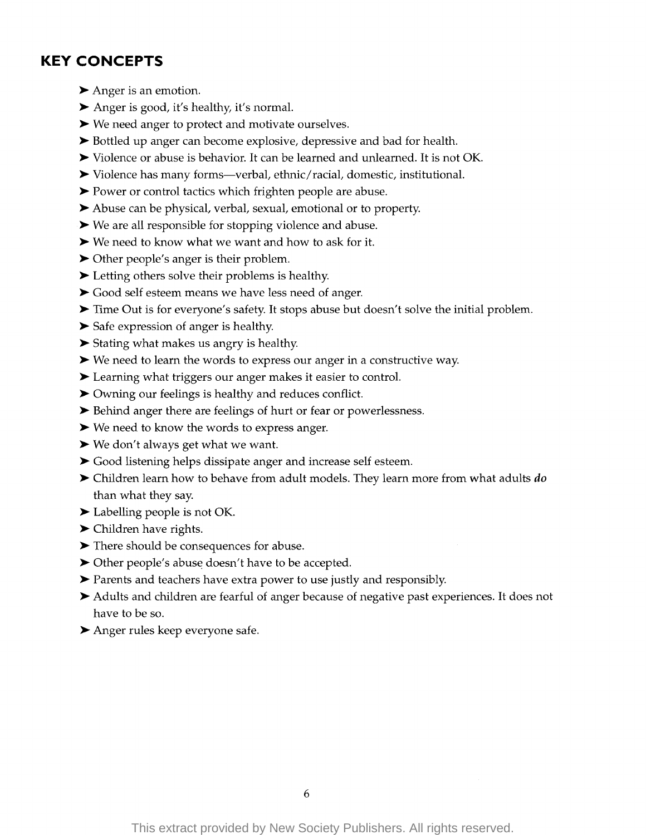# **KEY CONCEPTS**

- ▶ Anger is an emotion.
- Anger is good, it's healthy, it's normal.
- ▶ We need anger to protect and motivate ourselves.
- Bottled up anger can become explosive, depressive and bad for health.
- Violence or abuse is behavior. It can be learned and unlearned. It is not OK.
- Violence has many forms—verbal, ethnic/racial, domestic, institutional.
- ▶ Power or control tactics which frighten people are abuse.
- Abuse can be physical, verbal, sexual, emotional or to property.
- We are all responsible for stopping violence and abuse.
- We need to know what we want and how to ask for it.
- ▶ Other people's anger is their problem.
- Eletting others solve their problems is healthy.
- Good self esteem means we have less need of anger.
- Time Out is for everyone's safety. It stops abuse but doesn't solve the initial problem.
- $\triangleright$  Safe expression of anger is healthy.
- $\triangleright$  Stating what makes us angry is healthy.
- We need to learn the words to express our anger in a constructive way.
- Learning what triggers our anger makes it easier to control.
- ▶ Owning our feelings is healthy and reduces conflict.
- Behind anger there are feelings of hurt or fear or powerlessness.
- ▶ We need to know the words to express anger.
- ▶ We don't always get what we want.
- Good listening helps dissipate anger and increase self esteem.
- Children learn how to behave from adult models. They learn more from what adults *do* than what they say
- ▶ Labelling people is not OK.
- ▶ Children have rights.
- ▶ There should be consequences for abuse.
- ▶ Other people's abuse doesn't have to be accepted.
- Parents and teachers have extra power to use justly and responsibly.
- Adults and children are fearful of anger because of negative past experiences. It does not have to be so.
- Anger rules keep everyone safe.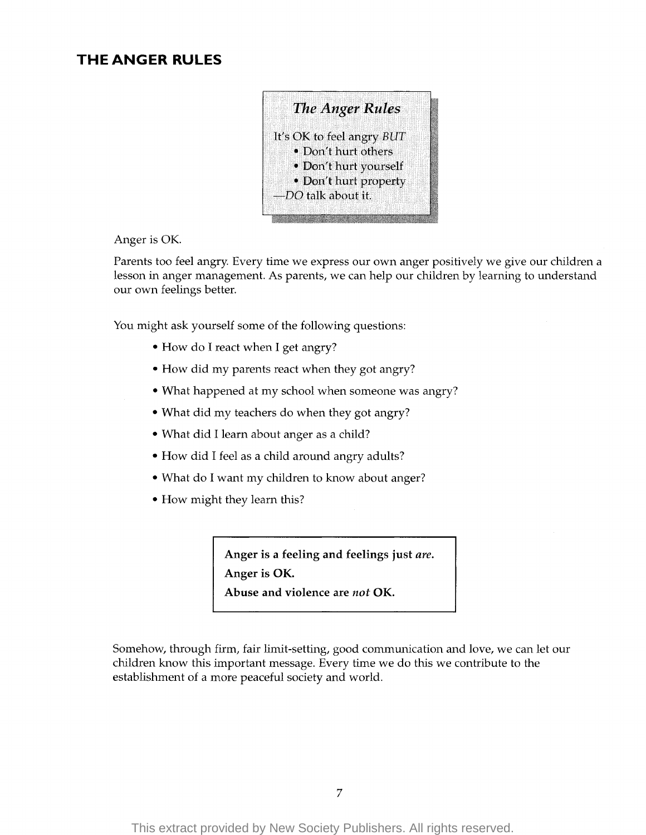### **THE ANGER RULES**



### Anger is OK.

Parents too feel angry. Every time we express our own anger positively we give our children a lesson in anger management. As parents, we can help our children by learning to understand our own feelings better.

You might ask yourself some of the following questions:

- How do I react when I get angry?
- How did my parents react when they got angry?
- What happened at my school when someone was angry?
- What did my teachers do when they got angry?
- What did I learn about anger as a child?
- How did I feel as a child around angry adults?
- What do I want my children to know about anger?
- How might they learn this?

**Anger is a feeling and feelings just** *are***. Anger is OK. Abuse and violence are** *not* **OK.**

Somehow, through firm, fair limit-setting, good communication and love, we can let our children know this important message. Every time we do this we contribute to the establishment of a more peaceful society and world.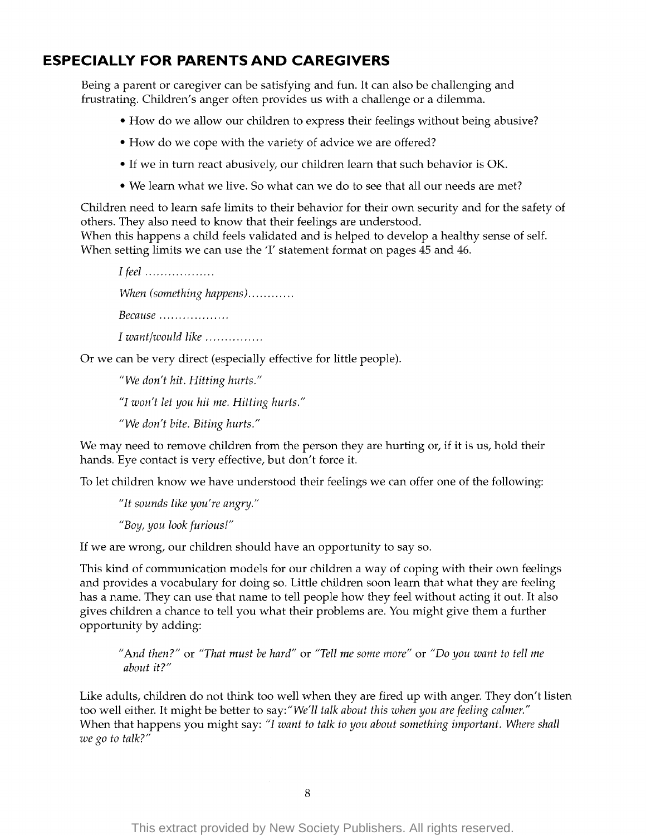### **ESPECIALLY FOR PARENTS AND CAREGIVERS**

Being a parent or caregiver can be satisfying and fun. It can also be challenging and frustrating. Children's anger often provides us with a challenge or a dilemma.

- How do we allow our children to express their feelings without being abusive?
- How do we cope with the variety of advice we are offered?
- If we in turn react abusively, our children learn that such behavior is OK.
- We learn what we live. So what can we do to see that all our needs are met?

Children need to learn safe limits to their behavior for their own security and for the safety of others. They also need to know that their feelings are understood.

When this happens a child feels validated and is helped to develop a healthy sense of self. When setting limits we can use the 'I' statement format on pages 45 and 46.

*I feel* ...................

*When (something happens)*...............

*Because* .......................

*I want/would like*...................

Or we can be very direct (especially effective for little people).

*"We don't hit. Hitting hurts."*

*"I won't let you hit me. Hitting hurts."*

*"We don't bite. Biting hurts."*

We may need to remove children from the person they are hurting or, if it is us, hold their hands. Eye contact is very effective, but don't force it.

To let children know we have understood their feelings we can offer one of the following:

*"It sounds like you're angry."*

*"Boy, you look furious!"*

If we are wrong, our children should have an opportunity to say so.

This kind of communication models for our children a way of coping with their own feelings and provides a vocabulary for doing so. Little children soon learn that what they are feeling has a name. They can use that name to tell people how they feel without acting it out. It also gives children a chance to tell you what their problems are. You might give them a further opportunity by adding:

*"And then?"* or *"That must be hard"* or "*Tell me some more"* or *"Do you want to tell me about it?"*

Like adults, children do not think too well when they are fired up with anger. They don't listen too well either. It might be better to *say:"We'll talk about this when you are feeling calmer."* When that happens you might say: *"I want to talk to you about something important. Where shall we go to talk?"*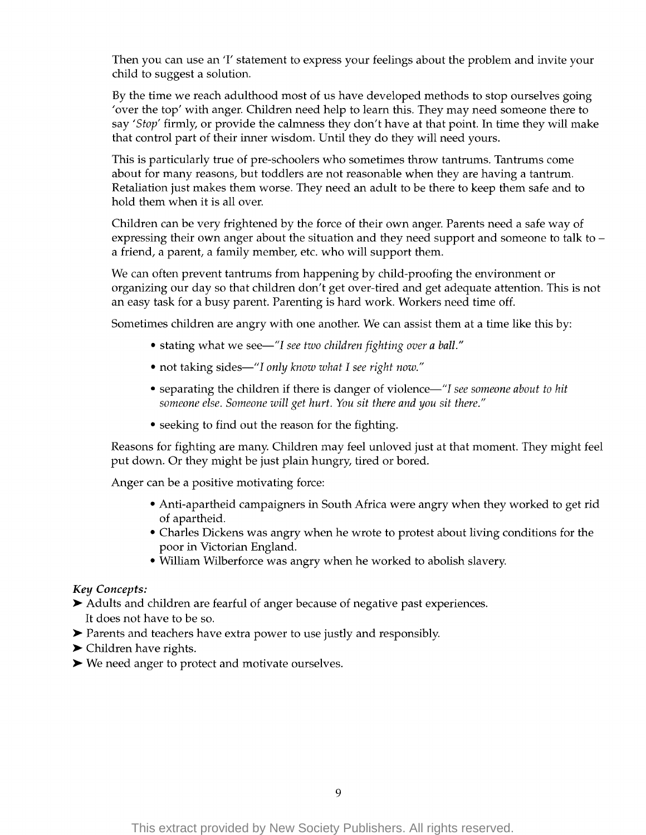Then you can use an 'I' statement to express your feelings about the problem and invite your child to suggest a solution.

By the time we reach adulthood most of us have developed methods to stop ourselves going 'over the top' with anger. Children need help to learn this. They may need someone there to say *'Stop'* firmly, or provide the calmness they don't have at that point. In time they will make that control part of their inner wisdom. Until they do they will need yours.

This is particularly true of pre-schoolers who sometimes throw tantrums. Tantrums come about for many reasons, but toddlers are not reasonable when they are having a tantrum. Retaliation just makes them worse. They need an adult to be there to keep them safe and to hold them when it is all over.

Children can be very frightened by the force of their own anger. Parents need a safe way of expressing their own anger about the situation and they need support and someone to talk to a friend, a parent, a family member, etc. who will support them.

We can often prevent tantrums from happening by child-proofing the environment or organizing our day so that children don't get over-tired and get adequate attention. This is not an easy task for a busy parent. Parenting is hard work. Workers need time off.

Sometimes children are angry with one another. We can assist them at a time like this by:

- stating what we see *"I see two children fighting over a ball."*
- not taking sides*—''I only know what I see right now."*
- separating the children if there is danger of violence—*"I see someone about to hit someone else. Someone will get hurt. You sit there and you sit there."*
- seeking to find out the reason for the fighting.

Reasons for fighting are many. Children may feel unloved just at that moment. They might feel put down. Or they might be just plain hungry, tired or bored.

Anger can be a positive motivating force:

- Anti-apartheid campaigners in South Africa were angry when they worked to get rid of apartheid.
- Charles Dickens was angry when he wrote to protest about living conditions for the poor in Victorian England.
- William Wilberforce was angry when he worked to abolish slavery.

#### *Key Concepts:*

- Adults and children are fearful of anger because of negative past experiences. It does not have to be so.
- $\triangleright$  Parents and teachers have extra power to use justly and responsibly.
- ▶ Children have rights.
- ▶ We need anger to protect and motivate ourselves.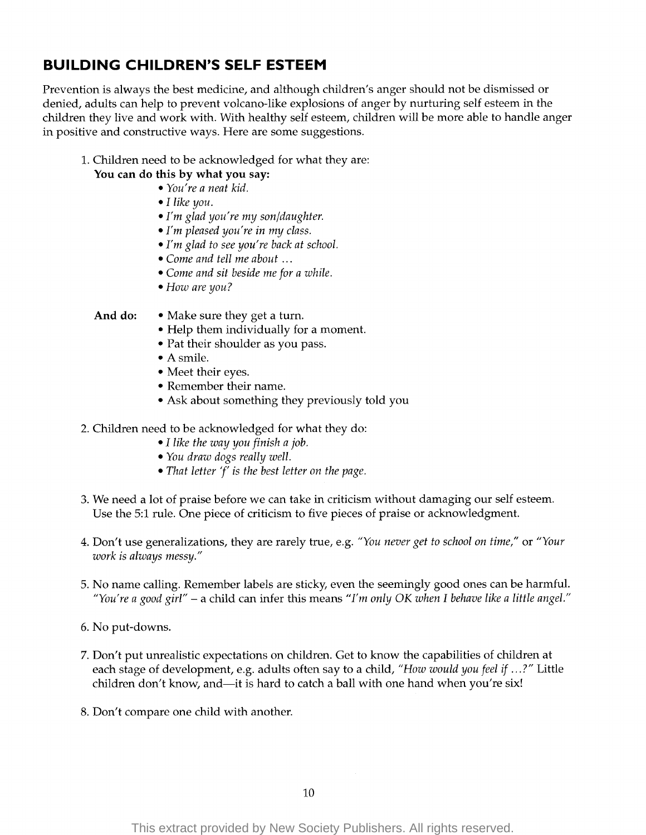# **BUILDING CHILDREN'S SELF ESTEEM**

Prevention is always the best medicine, and although children's anger should not be dismissed or denied, adults can help to prevent volcano-like explosions of anger by nurturing self esteem in the children they live and work with. With healthy self esteem, children will be more able to handle anger in positive and constructive ways. Here are some suggestions.

- 1. Children need to be acknowledged for what they are:
	- **You can do this by what you say:**
		- *You're a neat kid.*
		- *I like you.*
		- *I'm glad you're my son/daughter.*
		- *I'm pleased you're in my class.*
		- *I'm glad to see you're back at school.*
		- *Come and tell me about ...*
		- *Come and sit beside me for a while.*
		- *How are you?*
	- **And do:**  Make sure they get a turn.
		- Help them individually for a moment.
		- Pat their shoulder as you pass.
		- A smile.
		- Meet their eyes.
		- Remember their name.
		- Ask about something they previously told you
- 2. Children need to be acknowledged for what they do:
	- *I like the way you finish a job.*
	- *You draw dogs really well.*
	- *That letter* '*f* ' *is the best letter on the page.*
- 3. We need a lot of praise before we can take in criticism without damaging our self esteem. Use the 5:1 rule. One piece of criticism to five pieces of praise or acknowledgment.
- 4. Don't use generalizations, they are rarely true, e.g. *"You never get to school on time,"* or *"Your work is always messy."*
- 5. No name calling. Remember labels are sticky, even the seemingly good ones can be harmful. *"You're a good girl"* - a child can infer this means *"I'm only OK when I behave like a little angel."*
- 6. No put-downs.
- 7. Don't put unrealistic expectations on children. Get to know the capabilities of children at each stage of development, e.g. adults often say to a child, "*How would you feel if ...?"* Little children don't know, and—it is hard to catch a ball with one hand when you're six!
- 8. Don't compare one child with another.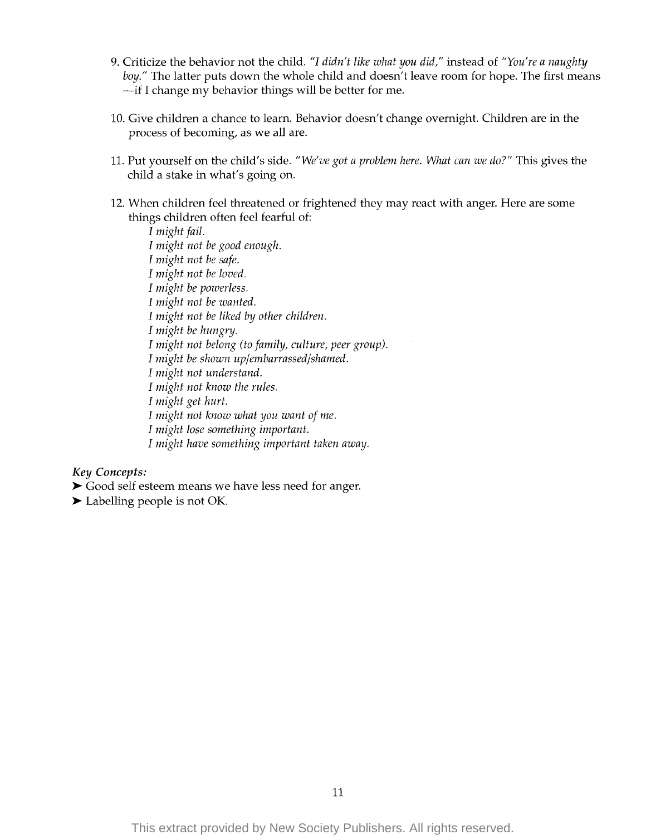- 9. Criticize the behavior not the child. *"I didn't like what you did,''* instead of *"You're a naughty boy."* The latter puts down the whole child and doesn't leave room for hope. The first means —if I change my behavior things will be better for me.
- 10. Give children a chance to learn. Behavior doesn't change overnight. Children are in the process of becoming, as we all are.
- 11. Put yourself on the child's side. *"We've got a problem here. What can we do?"* This gives the child a stake in what's going on.
- 12. When children feel threatened or frightened they may react with anger. Here are some things children often feel fearful of:

*I might fail. I might not be good enough. I might not be safe. I might not be loved. I might be powerless. I might not be wanted. I might not be liked by other children. I might be hungry. I might not belong (to family, culture, peer group). I might be shown up/embarrassed/shamed. I might not understand. I might not know the rules. I might get hurt. I might not know what you want of me. I might lose something important. I might have something important taken away.*

### *Key Concepts:*

- Good self esteem means we have less need for anger.
- $\blacktriangleright$  Labelling people is not OK.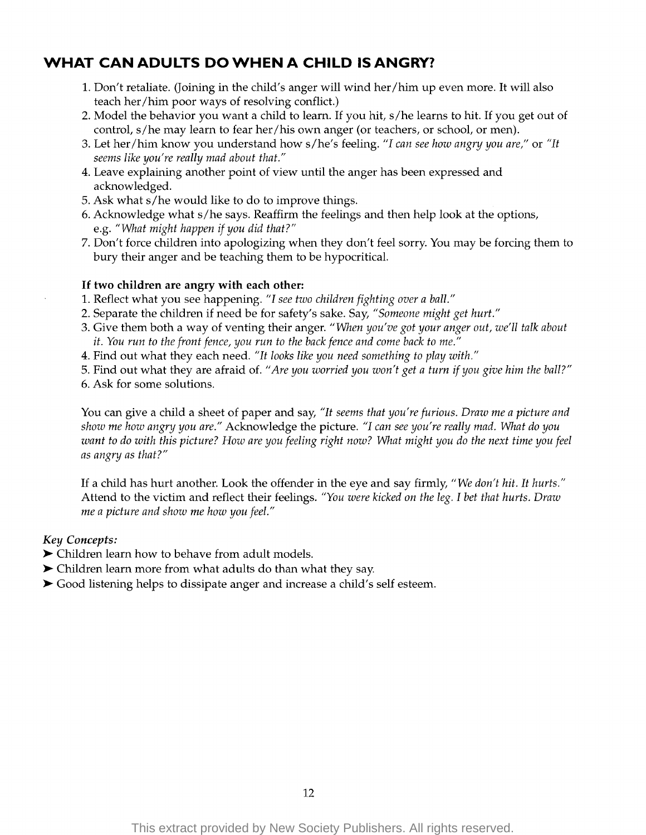# **W HAT CAN ADULTS DO W HEN A CHILD IS ANGRY?**

- 1. Don't retaliate. (Joining in the child's anger will wind her/him up even more. It will also teach her/him poor ways of resolving conflict.)
- 2. Model the behavior you want a child to learn. If you hit, s/he learns to hit. If you get out of control, s/he may learn to fear her/his own anger (or teachers, or school, or men).
- 3. Let her/him know you understand how s/he's feeling. *"I can see how angry you are,"* or *"It seems like you're really mad about that."*
- 4. Leave explaining another point of view until the anger has been expressed and acknowledged.
- 5. Ask what s/he would like to do to improve things.
- 6. Acknowledge what s/he says. Reaffirm the feelings and then help look at the options, e.g. *"What might happen if you did that?"*
- *7.* Don't force children into apologizing when they don't feel sorry. You may be forcing them to bury their anger and be teaching them to be hypocritical.

### **If two children are angry with each other:**

- 1. Reflect what you see happening. *"I see two children fighting over a ball."*
- 2. Separate the children if need be for safety's sake. Say, *"Someone might get hurt."*
- 3. Give them both a way of venting their anger. *"When you've got your anger out, we'll talk about it. You run to the front fence, you run to the back fence and come back to me."*
- 4. Find out what they each need. *"It looks like you need something to play with."*
- 5. Find out what they are afraid of. *"Are you worried you won't get a turn if you give him the ball?"*
- 6. Ask for some solutions.

You can give a child a sheet of paper and say, *"It seems that you're furious. Draw me a picture and show me how angry you are."* Acknowledge the picture. *"I can see you're really mad. What do you want to do with this picture? How are you feeling right now? What might you do the next time you feel as angry as that?"*

If a child has hurt another. Look the offender in the eye and say firmly, *"We don't hit. It hurts."* Attend to the victim and reflect their feelings. *"You were kicked on the leg. I bet that hurts. Draw me a picture and show me how you feel."*

### *Key Concepts:*

- Children learn how to behave from adult models.
- Children learn more from what adults do than what they say.
- ▶ Good listening helps to dissipate anger and increase a child's self esteem.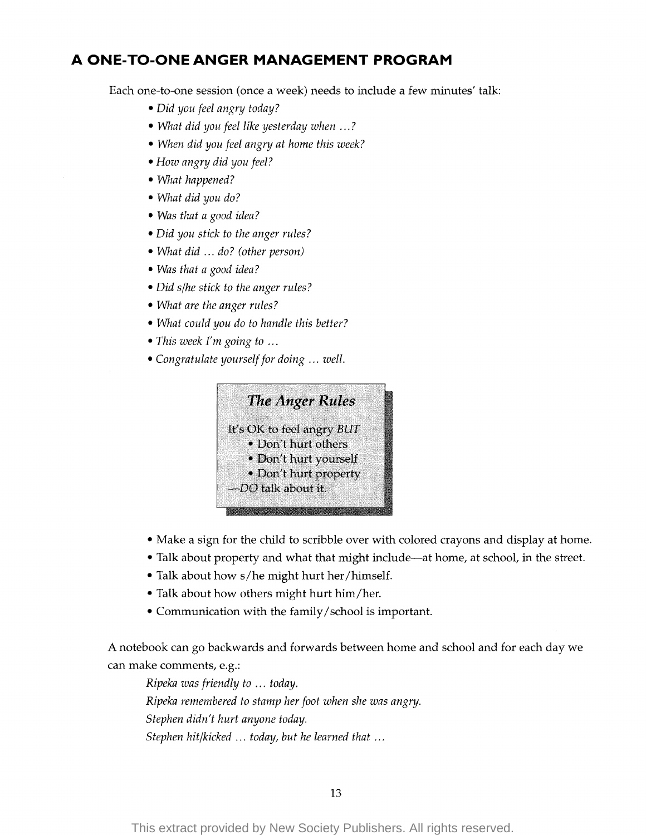# **A ONE-TO-ONE ANGER MANAGEMENT PROGRAM**

Each one-to-one session (once a week) needs to include a few minutes' talk:

- *Did you feel angry today?*
- *What did you feel like yesterday when ...?*
- *When did you feel angry at home this week?*
- *How angry did you feel?*
- *What happened?*
- *What did you do?*
- *Was that a good idea?*
- *Did you stick to the anger rules?*
- *What did ... do? (other person)*
- *Was that a good idea?*
- *Did s/he stick to the anger rules?*
- *What are the anger rules?*
- *What could you do to handle this better?*
- *This week I'm going to ...*
- *Congratulate yourself for doing ... well.*



- Make a sign for the child to scribble over with colored crayons and display at home.
- Talk about property and what that might include—at home, at school, in the street.
- Talk about how s/he might hurt her/himself.
- Talk about how others might hurt him/her.
- Communication with the family/school is important.

A notebook can go backwards and forwards between home and school and for each day we can make comments, e.g.:

*Ripeka was friendly to ... today. Ripeka remembered to stamp her foot when she was angry. Stephen didn't hurt anyone today. Stephen hit/kicked* ... *today, but he learned that ...*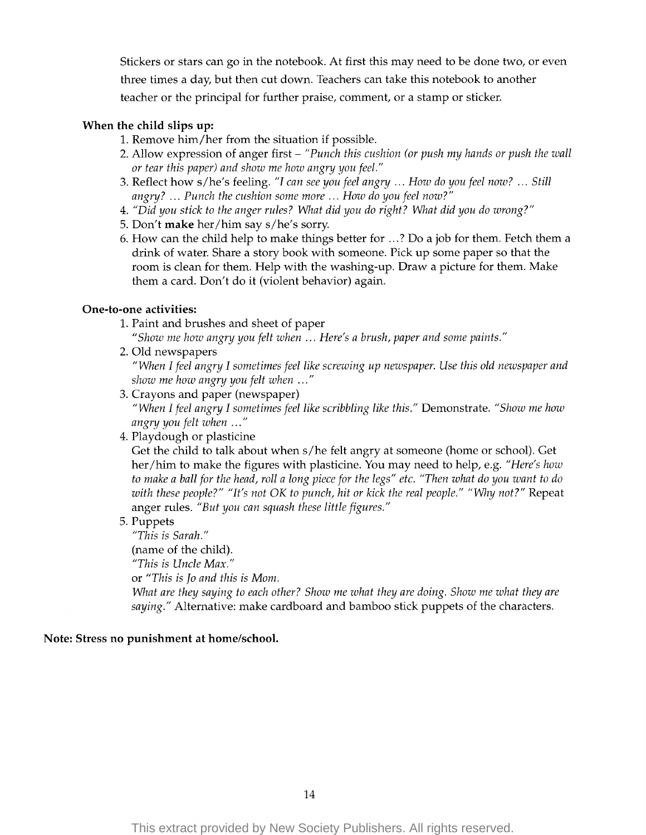Stickers or stars can go in the notebook. At first this may need to be done two, or even three times a day, but then cut down. Teachers can take this notebook to another teacher or the principal for further praise, comment, or a stamp or sticker.

### **When the child slips up:**

- 1. Remove him/her from the situation if possible.
- 2. Allow expression of anger first "Punch this cushion (or push my hands or push the wall *or tear this paper) and show me how angry you feel."*
- 3. Reflect how s/he's feeling. "*I can see you feel angry ... How do you feel now? ... Still angry? ... Punch the cushion some more ... How do you feel now?"*
- 4. *"Did you stick to the anger rules? What did you do right? What did you do wrong?"*
- 5. Don't **make** her/him say s/he's sorry.
- 6. How can the child help to make things better for ...? Do a job for them. Fetch them a drink of water. Share a story book with someone. Pick up some paper so that the room is clean for them. Help with the washing-up. Draw a picture for them. Make them a card. Don't do it (violent behavior) again.

### **One-to-one activities:**

1. Paint and brushes and sheet of paper

*"Show me how angry you felt when ... Here's a brush, paper and some paints."*

2. Old newspapers

" *When I feel angry I sometimes feel like screwing up newspaper. Use this old newspaper and show me how angry you felt when* ..."

3. Crayons and paper (newspaper)

*"When I feel angry I sometimes feel like scribbling like this."* Demonstrate. *"Show me how angry you felt when* ..."

4. Playdough or plasticine

Get the child to talk about when s/he felt angry at someone (home or school). Get her/him to make the figures with plasticine. You may need to help, e.g. *"Here's how to make a ball for the head, roll a long piece for the legs" etc. "Then what do you want to do with these people?" "It's not OK to punch, hit or kick the real people."* "*Why not?"* Repeat anger rules. *"But you can squash these little figures."*

5. Puppets

*"This is Sarah."* (name of the child). *"This is Uncle Max."* or *"This is Jo and this is Mom. What are they saying to each other? Show me what they are doing. Show me what they are saying."* Alternative: make cardboard and bamboo stick puppets of the characters.

#### **Note: Stress no punishment at home/school.**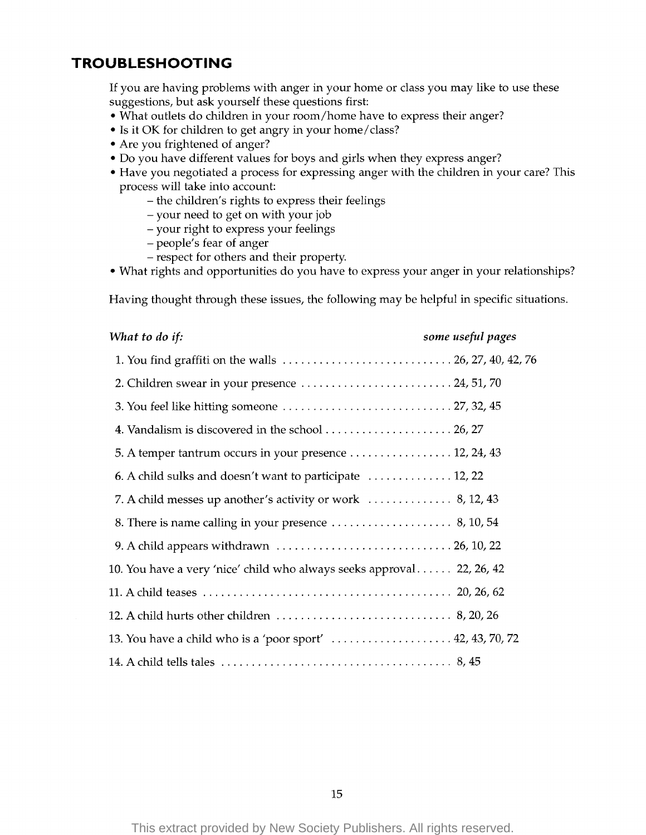## **TROUBLESHOOTING**

If you are having problems with anger in your home or class you may like to use these suggestions, but ask yourself these questions first:

- What outlets do children in your room/home have to express their anger?
- Is it OK for children to get angry in your home/class?
- Are you frightened of anger?
- Do you have different values for boys and girls when they express anger?
- Have you negotiated a process for expressing anger with the children in your care? This process will take into account:
	- the children's rights to express their feelings
	- your need to get on with your job
	- your right to express your feelings
	- people's fear of anger
	- respect for others and their property
- What rights and opportunities do you have to express your anger in your relationships?

Having thought through these issues, the following may be helpful in specific situations.

| What to do if:                                                                                 | some useful pages |
|------------------------------------------------------------------------------------------------|-------------------|
|                                                                                                |                   |
| 2. Children swear in your presence  24, 51, 70                                                 |                   |
|                                                                                                |                   |
|                                                                                                |                   |
| 5. A temper tantrum occurs in your presence 12, 24, 43                                         |                   |
| 6. A child sulks and doesn't want to participate  12, 22                                       |                   |
| 7. A child messes up another's activity or work $\ldots \ldots \ldots \ldots \ldots$ 8, 12, 43 |                   |
|                                                                                                |                   |
| 9. A child appears withdrawn  26, 10, 22                                                       |                   |
| 10. You have a very 'nice' child who always seeks approval 22, 26, 42                          |                   |
|                                                                                                |                   |
|                                                                                                |                   |
| 13. You have a child who is a 'poor sport'  42, 43, 70, 72                                     |                   |
|                                                                                                |                   |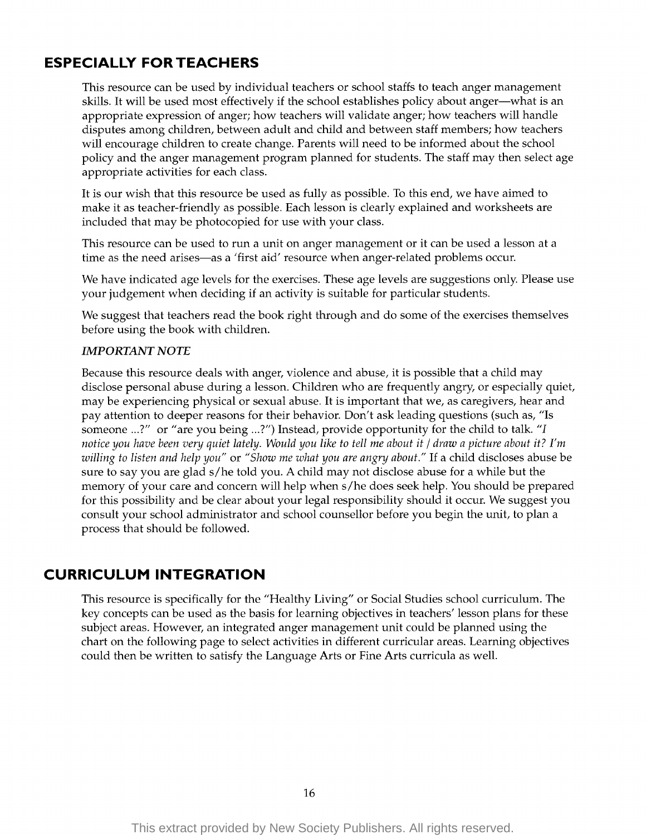# **ESPECIALLY FOR TEACHERS**

This resource can be used by individual teachers or school staffs to teach anger management skills. It will be used most effectively if the school establishes policy about anger—what is an appropriate expression of anger; how teachers will validate anger; how teachers will handle disputes among children, between adult and child and between staff members; how teachers will encourage children to create change. Parents will need to be informed about the school policy and the anger management program planned for students. The staff may then select age appropriate activities for each class.

It is our wish that this resource be used as fully as possible. To this end, we have aimed to make it as teacher-friendly as possible. Each lesson is clearly explained and worksheets are included that may be photocopied for use with your class.

This resource can be used to run a unit on anger management or it can be used a lesson at a time as the need arises—as a 'first aid' resource when anger-related problems occur.

We have indicated age levels for the exercises. These age levels are suggestions only. Please use your judgement when deciding if an activity is suitable for particular students.

We suggest that teachers read the book right through and do some of the exercises themselves before using the book with children.

### *IMPORTANT NOTE*

Because this resource deals with anger, violence and abuse, it is possible that a child may disclose personal abuse during a lesson. Children who are frequently angry, or especially quiet, may be experiencing physical or sexual abuse. It is important that we, as caregivers, hear and pay attention to deeper reasons for their behavior. Don't ask leading questions (such as, "Is someone ...?" or "are you being ...?") Instead, provide opportunity for the child to talk. "I *notice you have been very quiet lately. Would you like to tell me about it* / *draw a picture about it? I'm willing to listen and help you''* or *"Show me what you are angry about."* If a child discloses abuse be sure to say you are glad s/he told you. A child may not disclose abuse for a while but the memory of your care and concern will help when s/he does seek help. You should be prepared for this possibility and be clear about your legal responsibility should it occur. We suggest you consult your school administrator and school counsellor before you begin the unit, to plan a process that should be followed.

# **CURRICULUM INTEGRATION**

This resource is specifically for the "Healthy Living" or Social Studies school curriculum. The key concepts can be used as the basis for learning objectives in teachers' lesson plans for these subject areas. However, an integrated anger management unit could be planned using the chart on the following page to select activities in different curricular areas. Learning objectives could then be written to satisfy the Language Arts or Fine Arts curricula as well.